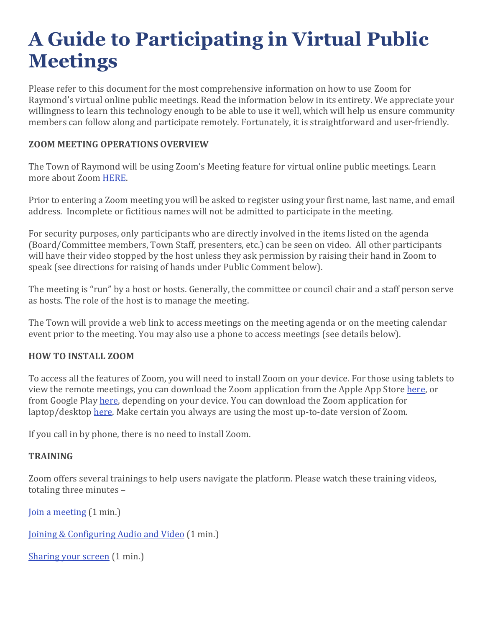# **A Guide to Participating in Virtual Public Meetings**

Please refer to this document for the most comprehensive information on how to use Zoom for Raymond's virtual online public meetings. Read the information below in its entirety. We appreciate your willingness to learn this technology enough to be able to use it well, which will help us ensure community members can follow along and participate remotely. Fortunately, it is straightforward and user-friendly.

## **ZOOM MEETING OPERATIONS OVERVIEW**

The Town of Raymond will be using Zoom's Meeting feature for virtual online public meetings. Learn more about Zoom [HERE.](https://zoom.us/) 

Prior to entering a Zoom meeting you will be asked to register using your first name, last name, and email address. Incomplete or fictitious names will not be admitted to participate in the meeting.

For security purposes, only participants who are directly involved in the items listed on the agenda (Board/Committee members, Town Staff, presenters, etc.) can be seen on video. All other participants will have their video stopped by the host unless they ask permission by raising their hand in Zoom to speak (see directions for raising of hands under Public Comment below).

The meeting is "run" by a host or hosts. Generally, the committee or council chair and a staff person serve as hosts. The role of the host is to manage the meeting.

The Town will provide a web link to access meetings on the meeting agenda or on the meeting calendar event prior to the meeting. You may also use a phone to access meetings (see details below).

#### **HOW TO INSTALL ZOOM**

To access all the features of Zoom, you will need to install Zoom on your device. For those using tablets to view the remote meetings, you can download the Zoom application from the Apple App Store [here,](https://apps.apple.com/us/app/zoom-cloud-meetings/id546505307) or from Google Play [here,](https://play.google.com/store/apps/details?id=us.zoom.videomeetings) depending on your device. You can download the Zoom application for laptop/desktop [here.](https://zoom.us/download) Make certain you always are using the most up-to-date version of Zoom.

If you call in by phone, there is no need to install Zoom.

#### **TRAINING**

Zoom offers several trainings to help users navigate the platform. Please watch these training videos, totaling three minutes –

Join a [meeting](https://www.youtube.com/watch?time_continue=1&v=hIkCmbvAHQQ&feature=emb_title) (1 min.)

Joining & [Configuring](https://www.youtube.com/embed/HqncX7RE0wM?rel=0&autoplay=1&cc_load_policy=1) Audio and Video (1 min.)

[Sharing](https://www.youtube.com/watch?time_continue=1&v=YA6SGQlVmcA&feature=emb_title) your screen (1 min.)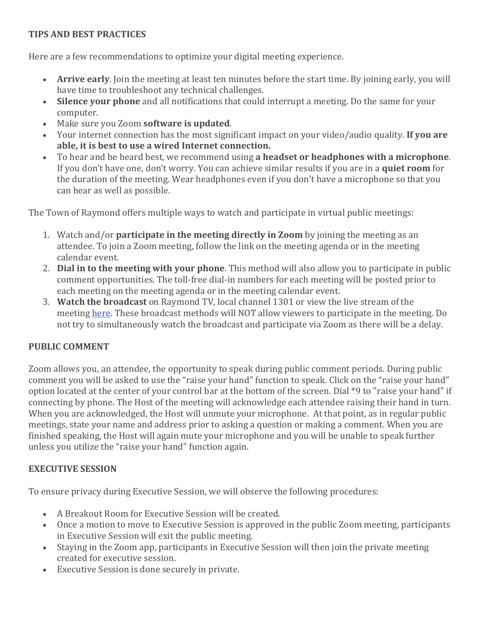## **TIPS AND BEST PRACTICES**

Here are a few recommendations to optimize your digital meeting experience.

- **Arrive early**. Join the meeting at least ten minutes before the start time. By joining early, you will have time to troubleshoot any technical challenges.
- **Silence your phone** and all notifications that could interrupt a meeting. Do the same for your computer.
- Make sure you Zoom **software is updated**.
- Your internet connection has the most significant impact on your video/audio quality. **If you are able, it is best to use a wired Internet connection.**
- To hear and be heard best, we recommend using **a headset or headphones with a microphone**. If you don't have one, don't worry. You can achieve similar results if you are in a **quiet room** for the duration of the meeting. Wear headphones even if you don't have a microphone so that you can hear as well as possible.

The Town of Raymond offers multiple ways to watch and participate in virtual public meetings:

- 1. Watch and/or **participate in the meeting directly in Zoom** by joining the meeting as an attendee. To join a Zoom meeting, follow the link on the meeting agenda or in the meeting calendar event.
- 2. **Dial in to the meeting with your phone**. This method will also allow you to participate in public comment opportunities. The toll-free dial-in numbers for each meeting will be posted prior to each meeting on the meeting agenda or in the meeting calendar event.
- 3. **Watch the broadcast** on Raymond TV, local channel 1301 or view the live stream of the meeting [here.](https://www.raymondmaine.org/content/live-video-streaming) These broadcast methods will NOT allow viewers to participate in the meeting. Do not try to simultaneously watch the broadcast and participate via Zoom as there will be a delay.

# **PUBLIC COMMENT**

Zoom allows you, an attendee, the opportunity to speak during public comment periods. During public comment you will be asked to use the "raise your hand" function to speak. Click on the "raise your hand" option located at the center of your control bar at the bottom of the screen. Dial \*9 to "raise your hand" if connecting by phone. The Host of the meeting will acknowledge each attendee raising their hand in turn. When you are acknowledged, the Host will unmute your microphone. At that point, as in regular public meetings, state your name and address prior to asking a question or making a comment. When you are finished speaking, the Host will again mute your microphone and you will be unable to speak further unless you utilize the "raise your hand" function again.

#### **EXECUTIVE SESSION**

To ensure privacy during Executive Session, we will observe the following procedures:

- A Breakout Room for Executive Session will be created.
- Once a motion to move to Executive Session is approved in the public Zoom meeting, participants in Executive Session will exit the public meeting.
- Staying in the Zoom app, participants in Executive Session will then join the private meeting created for executive session.
- Executive Session is done securely in private.